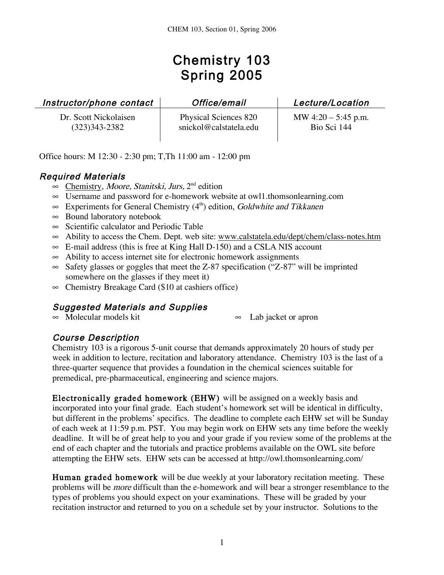# Chemistry 103 Spring 2005

| Instructor/phone contact |  |  |  |
|--------------------------|--|--|--|
|--------------------------|--|--|--|

Dr. Scott Nickolaisen (323)343-2382

Physical Sciences 820 snickol@calstatela.edu

Office/email Lecture/Location MW 4:20 – 5:45 p.m.

Bio Sci 144

Office hours: M 12:30 - 2:30 pm; T,Th 11:00 am - 12:00 pm

## Required Materials

- $\infty$  Chemistry, *Moore, Stanitski, Jurs*, 2<sup>nd</sup> edition
- $\infty$  Username and password for e-homework website at owll.thomsonlearning.com
- $\infty$  Experiments for General Chemistry (4<sup>th</sup>) edition, Goldwhite and Tikkanen
- $\infty$  Bound laboratory notebook
- $\infty$  Scientific calculator and Periodic Table
- $\infty$  Ability to access the Chem. Dept. web site: www.calstatela.edu/dept/chem/class-notes.htm
- $\infty$  E-mail address (this is free at King Hall D-150) and a CSLA NIS account
- $\infty$  Ability to access internet site for electronic homework assignments
- $\infty$  Safety glasses or goggles that meet the Z-87 specification ("Z-87" will be imprinted somewhere on the glasses if they meet it)
- $\infty$  Chemistry Breakage Card (\$10 at cashiers office)

## Suggested Materials and Supplies

 $\infty$  Molecular models kit  $\infty$  Lab jacket or apron

#### Course Description

Chemistry 103 is a rigorous 5-unit course that demands approximately 20 hours of study per week in addition to lecture, recitation and laboratory attendance. Chemistry 103 is the last of a three-quarter sequence that provides a foundation in the chemical sciences suitable for premedical, pre-pharmaceutical, engineering and science majors.

Electronically graded homework (EHW) will be assigned on a weekly basis and incorporated into your final grade. Each student's homework set will be identical in difficulty, but different in the problems' specifics. The deadline to complete each EHW set will be Sunday of each week at 11:59 p.m. PST. You may begin work on EHW sets any time before the weekly deadline. It will be of great help to you and your grade if you review some of the problems at the end of each chapter and the tutorials and practice problems available on the OWL site before attempting the EHW sets. EHW sets can be accessed at http://owl.thomsonlearning.com/

Human graded homework will be due weekly at your laboratory recitation meeting. These problems will be more difficult than the e-homework and will bear a stronger resemblance to the types of problems you should expect on your examinations. These will be graded by your recitation instructor and returned to you on a schedule set by your instructor. Solutions to the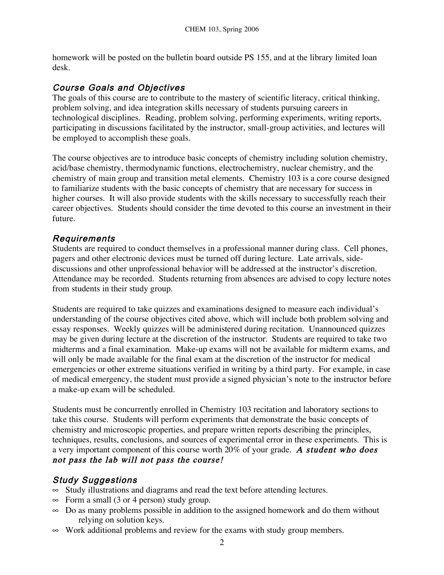homework will be posted on the bulletin board outside PS 155, and at the library limited loan desk.

#### Course Goals and Objectives

The goals of this course are to contribute to the mastery of scientific literacy, critical thinking, problem solving, and idea integration skills necessary of students pursuing careers in technological disciplines. Reading, problem solving, performing experiments, writing reports, participating in discussions facilitated by the instructor, small-group activities, and lectures will be employed to accomplish these goals.

The course objectives are to introduce basic concepts of chemistry including solution chemistry, acid/base chemistry, thermodynamic functions, electrochemistry, nuclear chemistry, and the chemistry of main group and transition metal elements. Chemistry 103 is a core course designed to familiarize students with the basic concepts of chemistry that are necessary for success in higher courses. It will also provide students with the skills necessary to successfully reach their career objectives. Students should consider the time devoted to this course an investment in their future.

#### Requirements

Students are required to conduct themselves in a professional manner during class. Cell phones, pagers and other electronic devices must be turned off during lecture. Late arrivals, sidediscussions and other unprofessional behavior will be addressed at the instructor's discretion. Attendance may be recorded. Students returning from absences are advised to copy lecture notes from students in their study group.

Students are required to take quizzes and examinations designed to measure each individual's understanding of the course objectives cited above, which will include both problem solving and essay responses. Weekly quizzes will be administered during recitation. Unannounced quizzes may be given during lecture at the discretion of the instructor. Students are required to take two midterms and a final examination. Make-up exams will not be available for midterm exams, and will only be made available for the final exam at the discretion of the instructor for medical emergencies or other extreme situations verified in writing by a third party. For example, in case of medical emergency, the student must provide a signed physician's note to the instructor before a make-up exam will be scheduled.

Students must be concurrently enrolled in Chemistry 103 recitation and laboratory sections to take this course. Students will perform experiments that demonstrate the basic concepts of chemistry and microscopic properties, and prepare written reports describing the principles, techniques, results, conclusions, and sources of experimental error in these experiments. This is a very important component of this course worth 20% of your grade. A student who does not pass the lab will not pass the course!

#### Study Suggestions

- $\infty$  Study illustrations and diagrams and read the text before attending lectures.
- $\infty$  Form a small (3 or 4 person) study group.
- $\infty$  Do as many problems possible in addition to the assigned homework and do them without relying on solution keys.
- $\infty$  Work additional problems and review for the exams with study group members.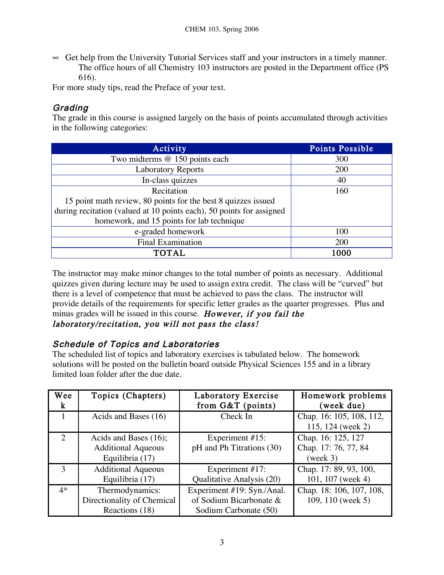$\infty$  Get help from the University Tutorial Services staff and your instructors in a timely manner. The office hours of all Chemistry 103 instructors are posted in the Department office (PS 616).

For more study tips, read the Preface of your text.

#### **Grading**

The grade in this course is assigned largely on the basis of points accumulated through activities in the following categories:

| Activity                                                             | Points Possible |
|----------------------------------------------------------------------|-----------------|
| Two midterms @ 150 points each                                       | 300             |
| <b>Laboratory Reports</b>                                            | 200             |
| In-class quizzes                                                     | 40              |
| Recitation                                                           | 160             |
| 15 point math review, 80 points for the best 8 quizzes issued        |                 |
| during recitation (valued at 10 points each), 50 points for assigned |                 |
| homework, and 15 points for lab technique                            |                 |
| e-graded homework                                                    | 100             |
| <b>Final Examination</b>                                             | 200             |
| <b>TOTAL</b>                                                         | 1000            |

The instructor may make minor changes to the total number of points as necessary. Additional quizzes given during lecture may be used to assign extra credit. The class will be "curved" but there is a level of competence that must be achieved to pass the class. The instructor will provide details of the requirements for specific letter grades as the quarter progresses. Plus and minus grades will be issued in this course. However, if you fail the laboratory/recitation, you will not pass the class!

#### Schedule of Topics and Laboratories

The scheduled list of topics and laboratory exercises is tabulated below. The homework solutions will be posted on the bulletin board outside Physical Sciences 155 and in a library limited loan folder after the due date.

| Wee<br>$\bf k$ | Topics (Chapters)                                                     | Laboratory Exercise<br>from $G&T$ (points)                                     | Homework problems<br>(week due)                        |
|----------------|-----------------------------------------------------------------------|--------------------------------------------------------------------------------|--------------------------------------------------------|
|                | Acids and Bases (16)                                                  | Check In                                                                       | Chap. 16: 105, 108, 112,<br>115, 124 (week 2)          |
| 2              | Acids and Bases (16);<br><b>Additional Aqueous</b><br>Equilibria (17) | Experiment #15:<br>pH and Ph Titrations (30)                                   | Chap. 16: 125, 127<br>Chap. 17: 76, 77, 84<br>(week 3) |
| $\mathcal{R}$  | <b>Additional Aqueous</b><br>Equilibria (17)                          | Experiment #17:<br>Qualitative Analysis (20)                                   | Chap. 17: 89, 93, 100,<br>101, 107 (week 4)            |
| $4*$           | Thermodynamics:<br>Directionality of Chemical<br>Reactions (18)       | Experiment #19: Syn./Anal.<br>of Sodium Bicarbonate &<br>Sodium Carbonate (50) | Chap. 18: 106, 107, 108,<br>109, 110 (week 5)          |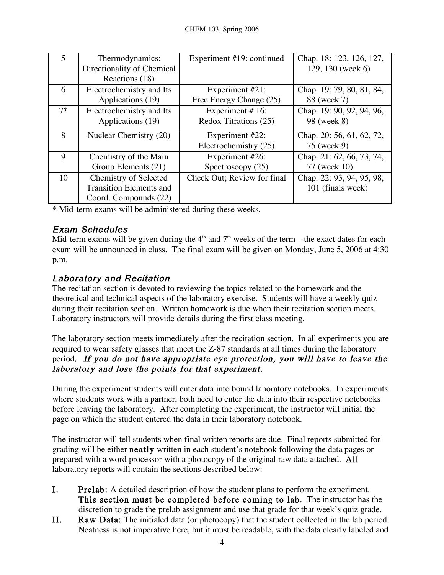|      | Thermodynamics:<br>Directionality of Chemical<br>Reactions (18)                         | Experiment #19: continued                | Chap. 18: 123, 126, 127,<br>129, 130 (week 6)  |
|------|-----------------------------------------------------------------------------------------|------------------------------------------|------------------------------------------------|
| 6    | Electrochemistry and Its                                                                | Experiment #21:                          | Chap. 19: 79, 80, 81, 84,                      |
|      | Applications (19)                                                                       | Free Energy Change (25)                  | 88 (week 7)                                    |
| $7*$ | Electrochemistry and Its                                                                | Experiment #16:                          | Chap. 19: 90, 92, 94, 96,                      |
|      | Applications (19)                                                                       | Redox Titrations (25)                    | 98 (week 8)                                    |
| 8    | Nuclear Chemistry (20)                                                                  | Experiment #22:<br>Electrochemistry (25) | Chap. 20: 56, 61, 62, 72,<br>75 (week 9)       |
| 9    | Chemistry of the Main                                                                   | Experiment #26:                          | Chap. 21: 62, 66, 73, 74,                      |
|      | Group Elements (21)                                                                     | Spectroscopy $(25)$                      | 77 (week 10)                                   |
| 10   | <b>Chemistry of Selected</b><br><b>Transition Elements and</b><br>Coord. Compounds (22) | Check Out; Review for final              | Chap. 22: 93, 94, 95, 98,<br>101 (finals week) |

\* Mid-term exams will be administered during these weeks.

## Exam Schedules

Mid-term exams will be given during the  $4<sup>th</sup>$  and  $7<sup>th</sup>$  weeks of the term—the exact dates for each exam will be announced in class. The final exam will be given on Monday, June 5, 2006 at 4:30 p.m.

### Laboratory and Recitation

The recitation section is devoted to reviewing the topics related to the homework and the theoretical and technical aspects of the laboratory exercise. Students will have a weekly quiz during their recitation section. Written homework is due when their recitation section meets. Laboratory instructors will provide details during the first class meeting.

The laboratory section meets immediately after the recitation section. In all experiments you are required to wear safety glasses that meet the Z-87 standards at all times during the laboratory period. If you do not have appropriate eye protection, you will have to leave the laboratory and lose the points for that experiment.

During the experiment students will enter data into bound laboratory notebooks. In experiments where students work with a partner, both need to enter the data into their respective notebooks before leaving the laboratory. After completing the experiment, the instructor will initial the page on which the student entered the data in their laboratory notebook.

The instructor will tell students when final written reports are due. Final reports submitted for grading will be either neatly written in each student's notebook following the data pages or prepared with a word processor with a photocopy of the original raw data attached. All laboratory reports will contain the sections described below:

- I. Prelab: A detailed description of how the student plans to perform the experiment. This section must be completed before coming to lab. The instructor has the discretion to grade the prelab assignment and use that grade for that week's quiz grade.
- II. Raw Data: The initialed data (or photocopy) that the student collected in the lab period. Neatness is not imperative here, but it must be readable, with the data clearly labeled and